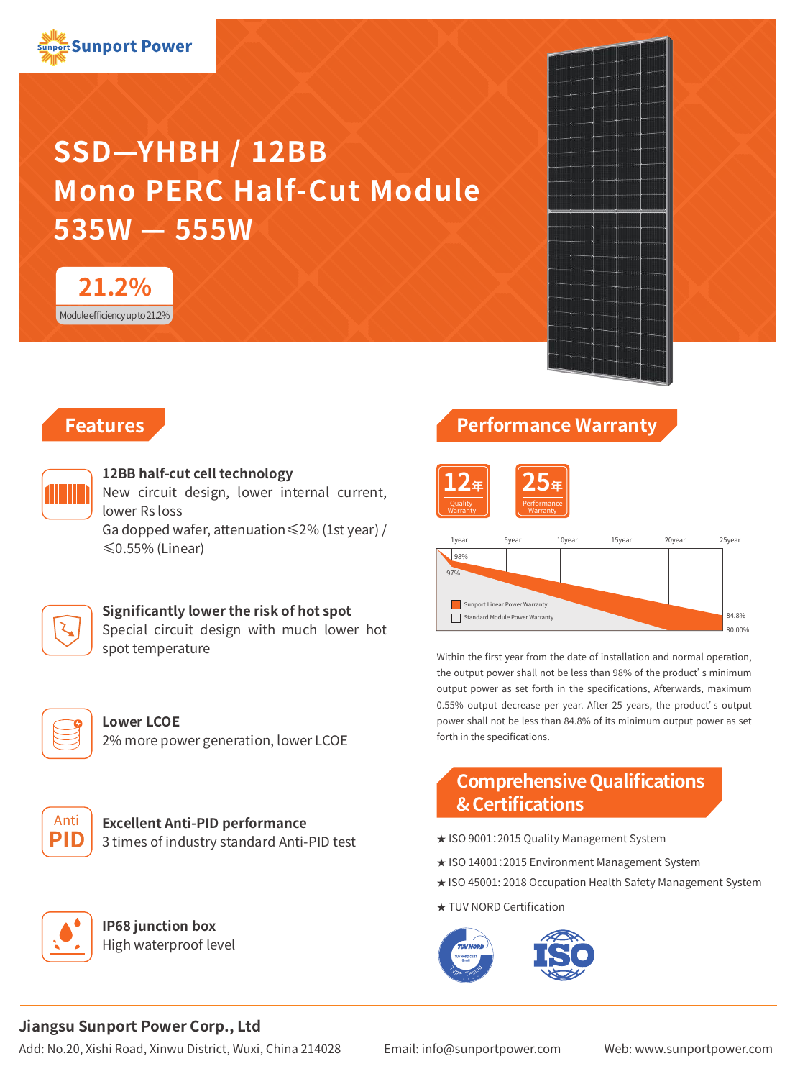# **SSD—YHBH / 12BB Mono PERC Half-Cut Module 535W — 555W**



# **Features**



#### **12BB half-cut cell technology**

New circuit design, lower internal current, lower Rs loss

Ga dopped wafer, attenuation≤2% (1st year) / ≤0.55% (Linear)

#### **Significantly lower the risk of hot spot**

Special circuit design with much lower hot spot temperature



**Lower LCOE** 2% more power generation, lower LCOE



**Excellent Anti-PID performance** 3 times of industry standard Anti-PID test



**IP68 junction box** High waterproof level

# **Performance Warranty**





Within the first year from the date of installation and normal operation, the output power shall not be less than 98% of the product's minimum output power as set forth in the specifications, Afterwards, maximum 0.55% output decrease per year. After 25 years, the product's output power shall not be less than 84.8% of its minimum output power as set forth in the specifications.

# **Comprehensive Qualifications & Certifications**

- ★ ISO 9001:2015 Quality Management System
- ★ ISO 14001:2015 Environment Management System
- ★ ISO 45001: 2018 Occupation Health Safety Management System
- ★ TUV NORD Certification



#### **Jiangsu Sunport Power Corp., Ltd**

Add: No.20, Xishi Road, Xinwu District, Wuxi, China 214028 Email: info@sunportpower.com Web: www.sunportpower.com